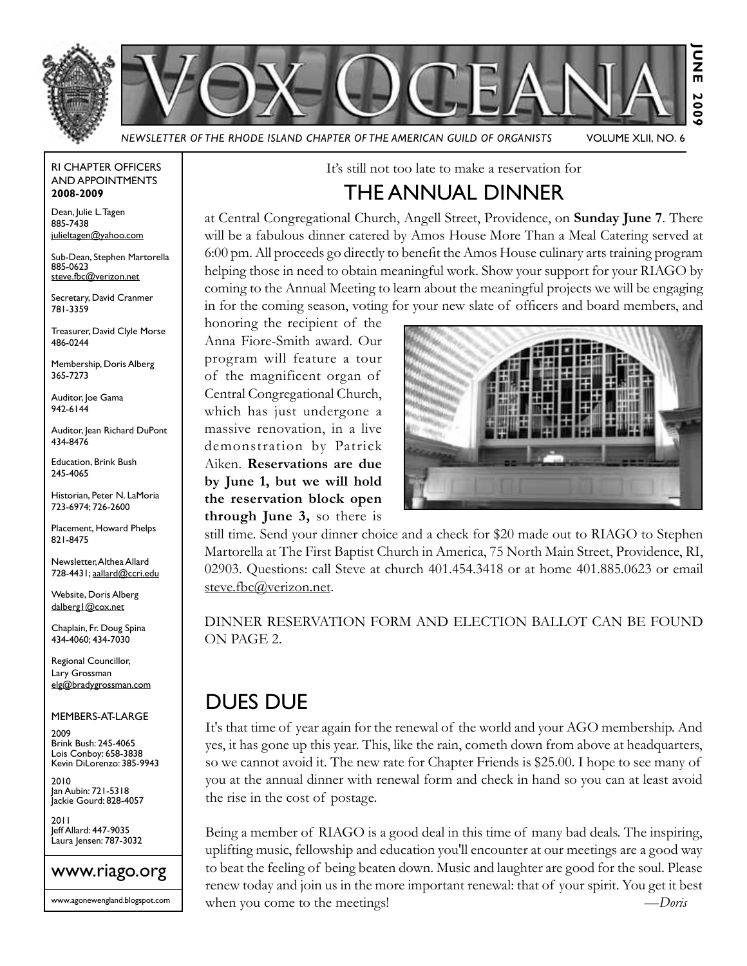



*Newsletter of the Rhode Island Chapter of the American Guild of Organists* Volume XLII, No. 6

#### RI Chapter Officers and Appointments **2008-2009**

Dean, Julie L. Tagen 885-7438 julieltagen@yahoo.com

Sub-Dean, Stephen Martorella 885-0623 steve.fbc@verizon.net

Secretary, David Cranmer 781-3359

Treasurer, David Clyle Morse 486-0244

Membership, Doris Alberg 365-7273

Auditor, Joe Gama 942-6144

Auditor, Jean Richard DuPont 434-8476

Education, Brink Bush 245-4065

Historian, Peter N. LaMoria 723-6974; 726-2600

Placement, Howard Phelps 821-8475

Newsletter, Althea Allard 728-4431; aallard@ccri.edu

Website, Doris Alberg dalberg1@cox.net

Chaplain, Fr. Doug Spina 434-4060; 434-7030

Regional Councillor, Lary Grossman elg@bradygrossman.com

Members-at-Large

2009 Brink Bush: 245-4065 Lois Conboy: 658-3838 Kevin DiLorenzo: 385-9943

2010 Jan Aubin: 721-5318 Jackie Gourd: 828-4057

2011 Jeff Allard: 447-9035 Laura Jensen: 787-3032



www.agonewengland.blogspot.com

It's still not too late to make a reservation for

## The ANNUAL DINNER

at Central Congregational Church, Angell Street, Providence, on **Sunday June 7**. There will be a fabulous dinner catered by Amos House More Than a Meal Catering served at 6:00 pm. All proceeds go directly to benefit the Amos House culinary arts training program helping those in need to obtain meaningful work. Show your support for your RIAGO by coming to the Annual Meeting to learn about the meaningful projects we will be engaging in for the coming season, voting for your new slate of officers and board members, and

honoring the recipient of the Anna Fiore-Smith award. Our program will feature a tour of the magnificent organ of Central Congregational Church, which has just undergone a massive renovation, in a live demonstration by Patrick Aiken. **Reservations are due by June 1, but we will hold the reservation block open through June 3,** so there is



still time. Send your dinner choice and a check for \$20 made out to RIAGO to Stephen Martorella at The First Baptist Church in America, 75 North Main Street, Providence, RI, 02903. Questions: call Steve at church 401.454.3418 or at home 401.885.0623 or email steve.fbc@verizon.net.

DINNER RESERVATION FORM AND ELECTION BALLOT CAN BE FOUND ON PAGE 2.

## Dues Due

It's that time of year again for the renewal of the world and your AGO membership. And yes, it has gone up this year. This, like the rain, cometh down from above at headquarters, so we cannot avoid it. The new rate for Chapter Friends is \$25.00. I hope to see many of you at the annual dinner with renewal form and check in hand so you can at least avoid the rise in the cost of postage.

Being a member of RIAGO is a good deal in this time of many bad deals. The inspiring, uplifting music, fellowship and education you'll encounter at our meetings are a good way to beat the feeling of being beaten down. Music and laughter are good for the soul. Please renew today and join us in the more important renewal: that of your spirit. You get it best when you come to the meetings! *—Doris*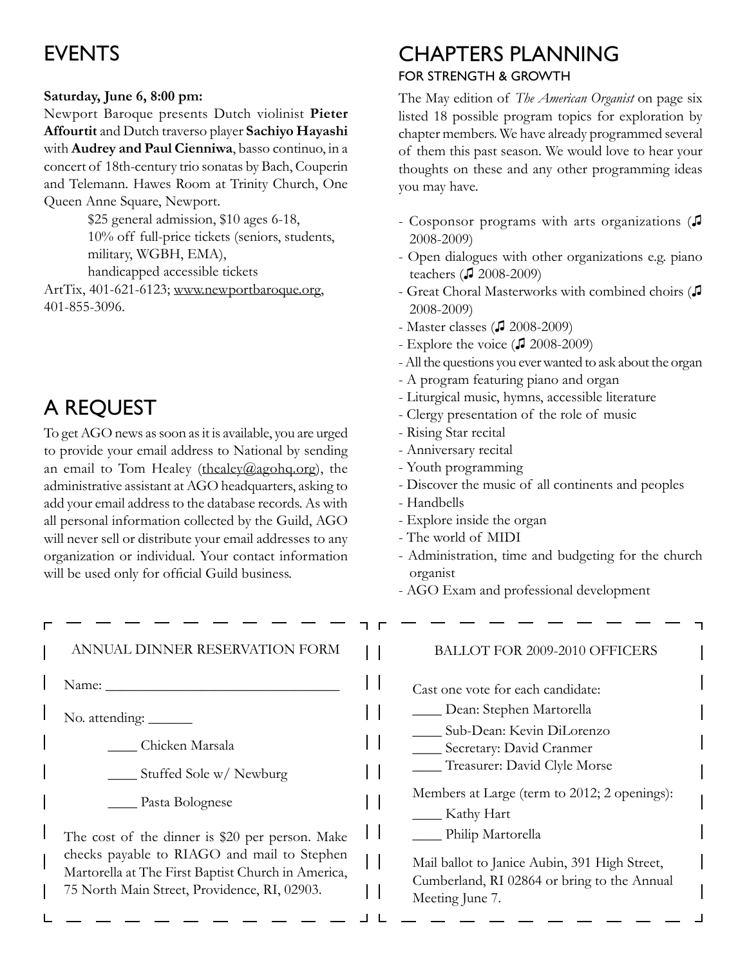# **EVENTS**

### **Saturday, June 6, 8:00 pm:**

Newport Baroque presents Dutch violinist **Pieter Affourtit** and Dutch traverso player **Sachiyo Hayashi** with **Audrey and Paul Cienniwa**, basso continuo, in a concert of 18th-century trio sonatas by Bach, Couperin and Telemann. Hawes Room at Trinity Church, One Queen Anne Square, Newport.

> \$25 general admission, \$10 ages 6-18, 10% off full-price tickets (seniors, students, military, WGBH, EMA), handicapped accessible tickets

ArtTix, 401-621-6123; www.newportbaroque.org, 401-855-3096.

# A Request

L

To get AGO news as soon as it is available, you are urged to provide your email address to National by sending an email to Tom Healey (thealey  $(\theta_a)$  agohq.org), the administrative assistant at AGO headquarters, asking to add your email address to the database records. As with all personal information collected by the Guild, AGO will never sell or distribute your email addresses to any organization or individual. Your contact information will be used only for official Guild business.

| ANNUAL DINNER RESERVATION FORM                                                                    |
|---------------------------------------------------------------------------------------------------|
| Name: .                                                                                           |
|                                                                                                   |
| Chicken Marsala                                                                                   |
| Stuffed Sole w/ Newburg                                                                           |
| Pasta Bolognese                                                                                   |
| The cost of the dinner is \$20 per person. Make                                                   |
| checks payable to RIAGO and mail to Stephen<br>Martorella at The First Baptist Church in America, |
| 75 North Main Street, Providence, RI, 02903.                                                      |
|                                                                                                   |

# Chapters Planning

### for Strength & Growth

The May edition of *The American Organist* on page six listed 18 possible program topics for exploration by chapter members. We have already programmed several of them this past season. We would love to hear your thoughts on these and any other programming ideas you may have.

- Cosponsor programs with arts organizations (♫ 2008-2009)
- Open dialogues with other organizations e.g. piano teachers (♫ 2008-2009)
- Great Choral Masterworks with combined choirs (♫ 2008-2009)
- Master classes (♫ 2008-2009)
- Explore the voice (♫ 2008-2009)
- All the questions you ever wanted to ask about the organ
- A program featuring piano and organ
- Liturgical music, hymns, accessible literature
- Clergy presentation of the role of music
- Rising Star recital
- Anniversary recital
- Youth programming
- Discover the music of all continents and peoples
- Handbells

 $\perp$  L

- Explore inside the organ
- The world of MIDI
- Administration, time and budgeting for the church organist
- AGO Exam and professional development

|  | <b>BALLOT FOR 2009-2010 OFFICERS</b>                                                                            |  |
|--|-----------------------------------------------------------------------------------------------------------------|--|
|  | Cast one vote for each candidate:<br>Dean: Stephen Martorella                                                   |  |
|  | Sub-Dean: Kevin DiLorenzo<br>Secretary: David Cranmer                                                           |  |
|  | Treasurer: David Clyle Morse                                                                                    |  |
|  | Members at Large (term to 2012; 2 openings):<br>Kathy Hart                                                      |  |
|  | Philip Martorella                                                                                               |  |
|  | Mail ballot to Janice Aubin, 391 High Street,<br>Cumberland, RI 02864 or bring to the Annual<br>Meeting June 7. |  |
|  |                                                                                                                 |  |